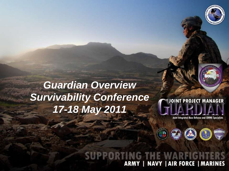

# *Guardian Overview Survivability Conference 17-18 May 2011*

# **JOINT PROJECT MANAGER**

**Joint Integrated Base Defense and CBRNE Specialists** 

# **PORTING THE WARFIGH ARMY | NAVY | AIR FORCE | MARINES**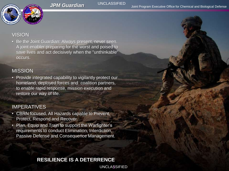

## VISION

• Be the Joint Guardian: Always present, never seen. A joint enabler preparing for the worst and poised to save lives and act decisively when the "unthinkable" occurs.

### MISSION

• Provide integrated capability to vigilantly protect our homeland, deployed forces and coalition partners, to enable rapid response, mission execution and restore our way of life.

## IMPERATIVES

- CBRN focused, All Hazards capable to Prevent, Protect, Respond and Recover.
- Plan, Equip and Train to support the Warfighter's requirements to conduct Elimination, Interdiction, Passive Defense and Consequence Management.

# **RESILIENCE IS A DETERRENCE**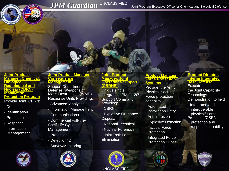**Joint Product Manager, Chemical, Biological, Radiological and Nuclear (CBRN) Installation Protection Program** Provide Joint CBRN:

- Detection
- Identification
- Protection
- Response
- Information **Management**

#### **Joint Product Manager, Consequence Management**

Support Department of Defense Weapons of Mass Destruction (WMD) Response Units Providing:

- Advanced Analytics
- Information Management
- Communications
- Commercial –off-the-Shelf Life Cycle Management
- Protection
- Detection/ID
- Survey/Monitoring



**Joint Product Manager, Joint Operations Support (CBRNE)**

Unique single Integrating PM for 20th Support Command, providing:

- CBRN
- Explosive Ordnance **Disposal**
- National Technical
- Nuclear Forensics
- Joint Task Force **Elimination**



#### **Product Manager Force Protection Systems**

Provide the Army Physical Security Force protection capability:

- Automated Installation Entry
- Anti-intrusion
- Explosive Detection
- Tactical Force **Protection**
- Integrated Force Protection Suites



#### **Product Director, Interim Integrated Base Defense: Execute** the Joint Capability **Technology** Demonstration to field

- Integrated and interoperable physical/ Force Protection/CBRN protection and response capability

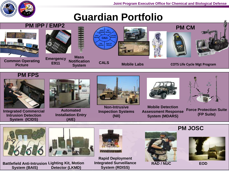

# **Guardian Portfolio**





**Integrated Commercial Intrusion Detection System (ICIDS)**



**Automated Installation Entry (AIE)**



**Non-Intrusive Inspection Systems (NII)**



**Mobile Detection Assessment Response System (MDARS)**



**Force Protection Suite (FP Suite)** 





**Battlefield Anti-Intrusion Lighting Kit, Motion Detector (LKMD) System (BAIS)**



**Rapid Deployment Integrated Surveillance System (RDISS)**



# **PM JOSC**